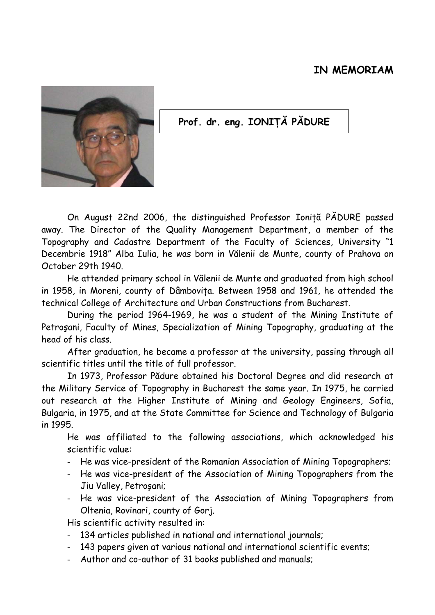## **IN MEMORIAM**



## **Prof. dr. eng. IONIŢĂ PĂDURE**

On August 22nd 2006, the distinguished Professor Ionită PĂDURE passed away. The Director of the Quality Management Department, a member of the Topography and Cadastre Department of the Faculty of Sciences, University "1 Decembrie 1918" Alba Iulia, he was born in Vălenii de Munte, county of Prahova on October 29th 1940.

He attended primary school in Vălenii de Munte and graduated from high school in 1958, in Moreni, county of Dâmboviţa. Between 1958 and 1961, he attended the technical College of Architecture and Urban Constructions from Bucharest.

During the period 1964-1969, he was a student of the Mining Institute of Petroşani, Faculty of Mines, Specialization of Mining Topography, graduating at the head of his class.

After graduation, he became a professor at the university, passing through all scientific titles until the title of full professor.

In 1973, Professor Pădure obtained his Doctoral Degree and did research at the Military Service of Topography in Bucharest the same year. In 1975, he carried out research at the Higher Institute of Mining and Geology Engineers, Sofia, Bulgaria, in 1975, and at the State Committee for Science and Technology of Bulgaria in 1995.

He was affiliated to the following associations, which acknowledged his scientific value:

- He was vice-president of the Romanian Association of Mining Topographers;
- He was vice-president of the Association of Mining Topographers from the Jiu Valley, Petroşani;
- He was vice-president of the Association of Mining Topographers from Oltenia, Rovinari, county of Gorj.

His scientific activity resulted in:

- 134 articles published in national and international journals;
- 143 papers given at various national and international scientific events;
- Author and co-author of 31 books published and manuals;